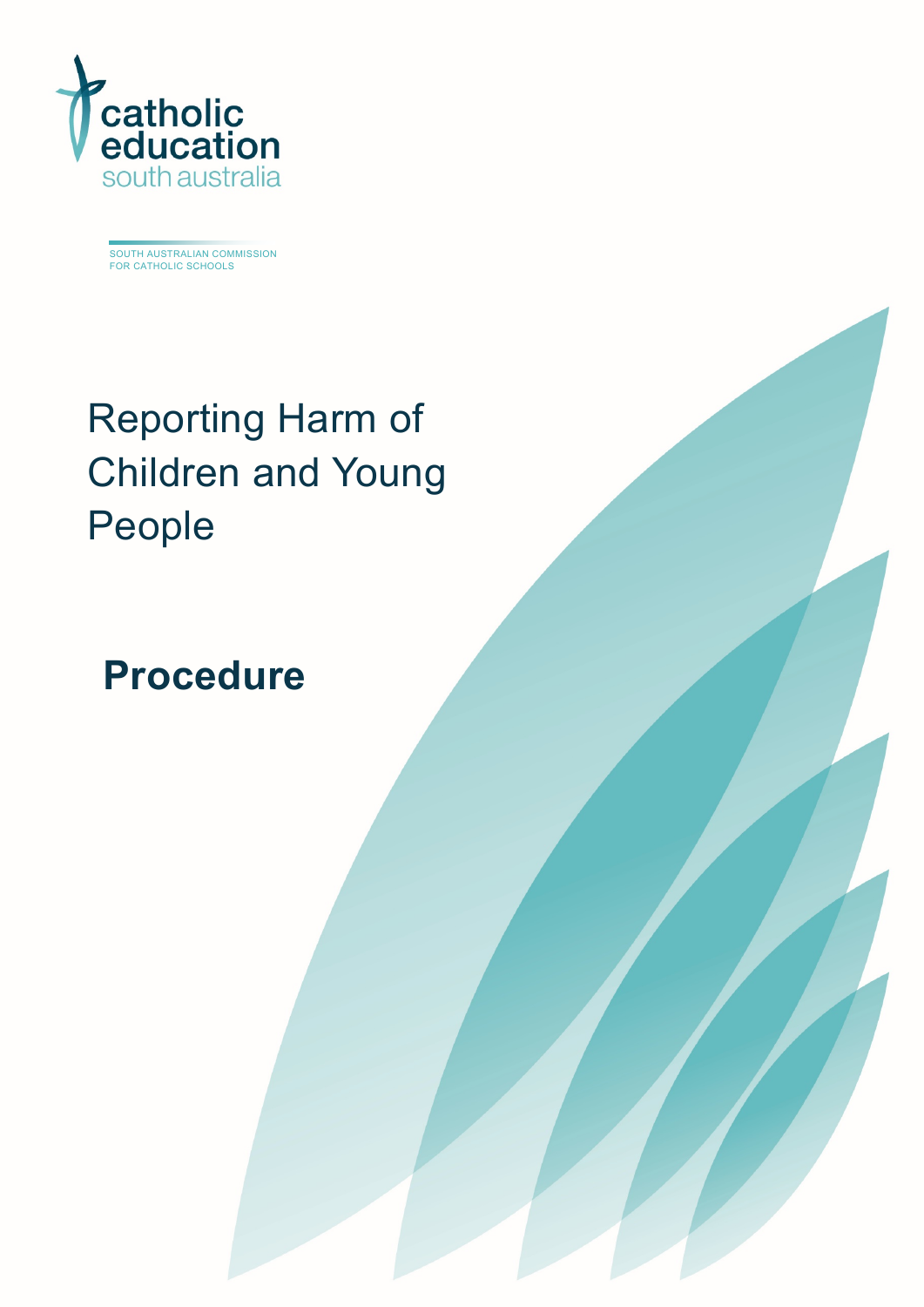

SOUTH AUSTRALIAN COMMISSION FOR CATHOLIC SCHOOLS

# Reporting Harm of Children and Young People

## **Procedure**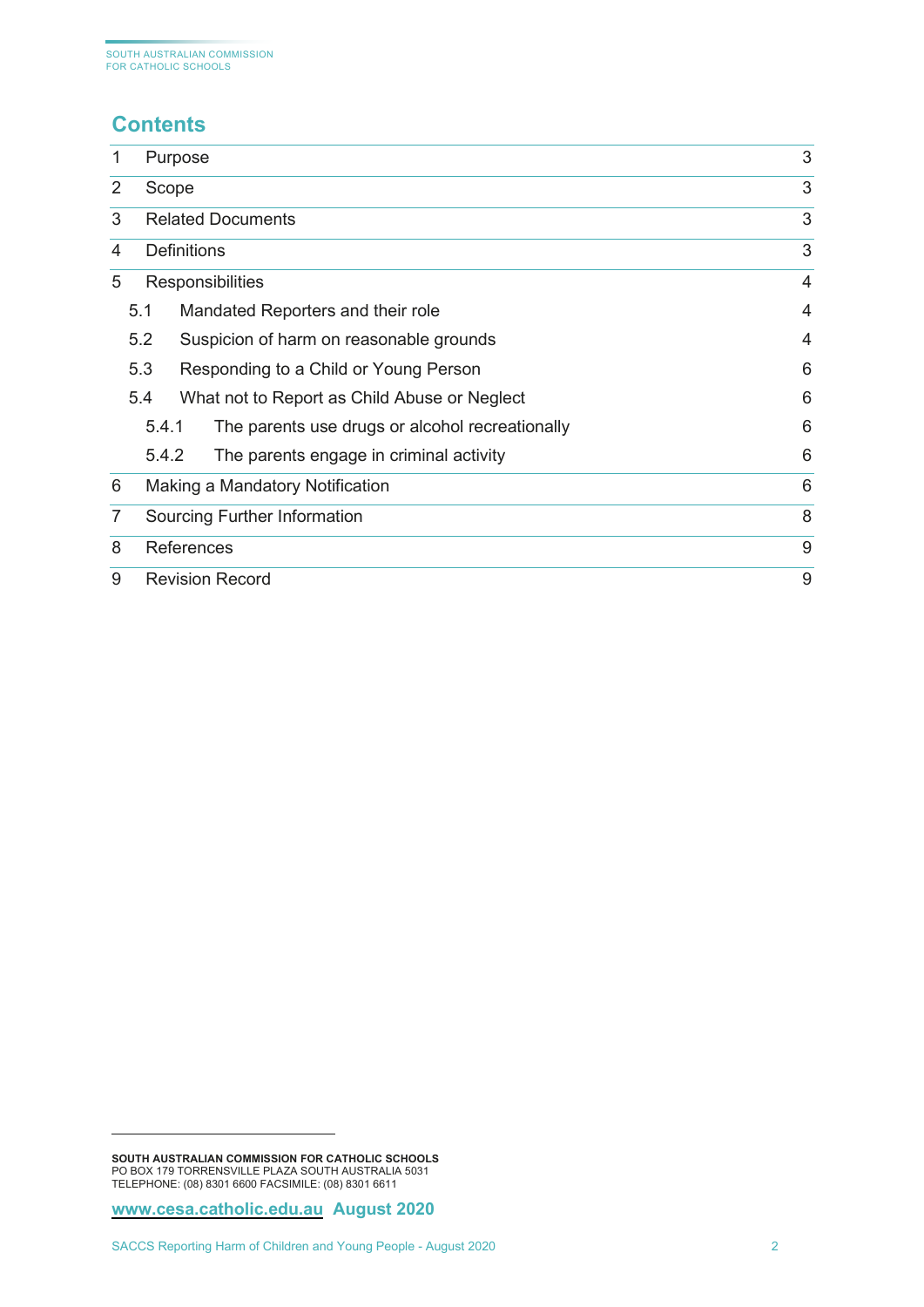## **Contents[1](#page-1-0)**

| 1 |                               | Purpose                                                  | 3              |  |
|---|-------------------------------|----------------------------------------------------------|----------------|--|
| 2 | Scope                         | 3                                                        |                |  |
|   | 3<br><b>Related Documents</b> |                                                          |                |  |
| 4 | <b>Definitions</b>            |                                                          |                |  |
| 5 | <b>Responsibilities</b>       |                                                          | $\overline{4}$ |  |
|   | 5.1                           | Mandated Reporters and their role                        | 4              |  |
|   | 5.2                           | Suspicion of harm on reasonable grounds                  | 4              |  |
|   | 5.3                           | Responding to a Child or Young Person                    | 6              |  |
|   | 5.4                           | What not to Report as Child Abuse or Neglect             | 6              |  |
|   |                               | 5.4.1<br>The parents use drugs or alcohol recreationally | 6              |  |
|   |                               | 5.4.2<br>The parents engage in criminal activity         | 6              |  |
| 6 |                               | Making a Mandatory Notification                          |                |  |
| 7 |                               | 8<br>Sourcing Further Information                        |                |  |
| 8 |                               | 9<br><b>References</b>                                   |                |  |
| 9 |                               | 9<br><b>Revision Record</b>                              |                |  |

<span id="page-1-0"></span>**SOUTH AUSTRALIAN COMMISSION FOR CATHOLIC SCHOOLS** PO BOX 179 TORRENSVILLE PLAZA SOUTH AUSTRALIA 5031 TELEPHONE: (08) 8301 6600 FACSIMILE: (08) 8301 6611

**[www.cesa.catholic.edu.au](http://www.cesa.catholic.edu.au/) August 2020**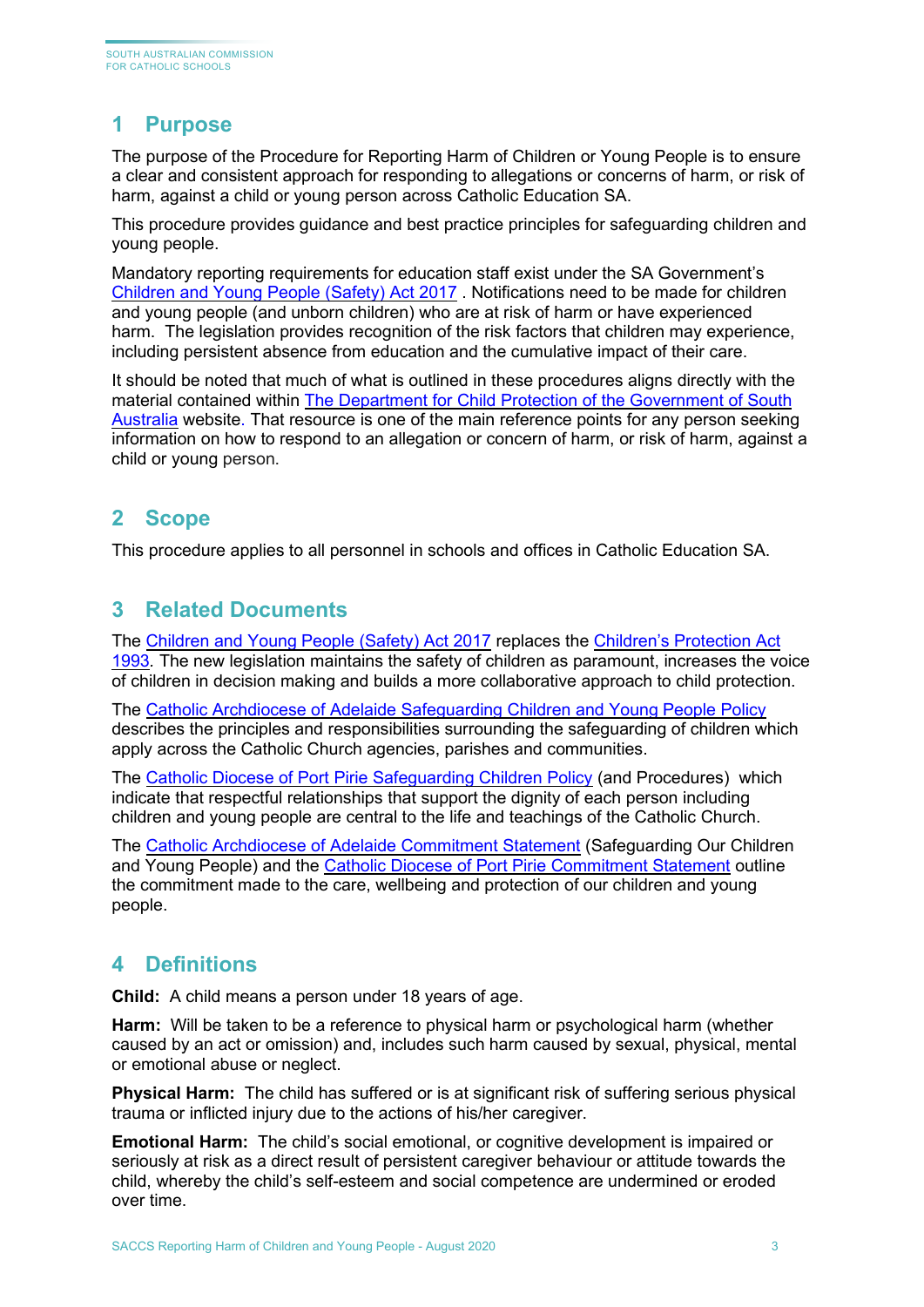## <span id="page-2-0"></span>**1 Purpose**

The purpose of the Procedure for Reporting Harm of Children or Young People is to ensure a clear and consistent approach for responding to allegations or concerns of harm, or risk of harm, against a child or young person across Catholic Education SA.

This procedure provides guidance and best practice principles for safeguarding children and young people.

Mandatory reporting requirements for education staff exist under the SA Government's [Children and Young People \(Safety\) Act 2017](https://www.legislation.sa.gov.au/LZ/C/A/Children%20and%20Young%20People%20(Safety)%20Act%202017.aspx) . Notifications need to be made for children and young people (and unborn children) who are at risk of harm or have experienced harm. The legislation provides recognition of the risk factors that children may experience, including persistent absence from education and the cumulative impact of their care.

It should be noted that much of what is outlined in these procedures aligns directly with the material contained within [The Department for Child Protection of the Government of South](https://www.childprotection.sa.gov.au/reporting-child-abuse/responding-child-about-abuse-or-neglect)  [Australia](https://www.childprotection.sa.gov.au/reporting-child-abuse/responding-child-about-abuse-or-neglect) website. That resource is one of the main reference points for any person seeking information on how to respond to an allegation or concern of harm, or risk of harm, against a child or young person.

## <span id="page-2-1"></span>**2 Scope**

<span id="page-2-2"></span>This procedure applies to all personnel in schools and offices in Catholic Education SA.

## **3 Related Documents**

The [Children and Young People \(Safety\) Act 2017](https://www.legislation.sa.gov.au/LZ/C/A/Children%20and%20Young%20People%20(Safety)%20Act%202017.aspx) replaces the [Children's Protection Act](https://www.legislation.sa.gov.au/LZ/C/A/CHILDRENS%20PROTECTION%20ACT%201993.aspx)  [1993](https://www.legislation.sa.gov.au/LZ/C/A/CHILDRENS%20PROTECTION%20ACT%201993.aspx)*.* The new legislation maintains the safety of children as paramount, increases the voice of children in decision making and builds a more collaborative approach to child protection.

The [Catholic Archdiocese of Adelaide Safeguarding Children and Young People Policy](https://adelaide.catholic.org.au/__files/f/36861/Safeguarding%20Children%20and%20Young%20People%20Policy%20.pdf) describes the principles and responsibilities surrounding the safeguarding of children which apply across the Catholic Church agencies, parishes and communities.

The [Catholic Diocese of Port Pirie Safeguarding Children Policy](http://www.pp.catholic.org.au/__files/d/9704/CDPP%20Child%20Safeguarding%20Policy.pdf) (and Procedures) which indicate that respectful relationships that support the dignity of each person including children and young people are central to the life and teachings of the Catholic Church.

The [Catholic Archdiocese of Adelaide Commitment Statement](https://adelaide.catholic.org.au/__files/f/28071/Commitment%20Statement.pdf) (Safeguarding Our Children and Young People) and the Catholic Diocese of Port [Pirie Commitment Statement](http://www.pp.catholic.org.au/__files/d/9726/Commitment%20Statement.pdf) outline the commitment made to the care, wellbeing and protection of our children and young people.

## <span id="page-2-3"></span>**4 Definitions**

**Child:** A child means a person under 18 years of age.

**Harm:** Will be taken to be a reference to physical harm or psychological harm (whether caused by an act or omission) and, includes such harm caused by sexual, physical, mental or emotional abuse or neglect.

**Physical Harm:** The child has suffered or is at significant risk of suffering serious physical trauma or inflicted injury due to the actions of his/her caregiver.

**Emotional Harm:** The child's social emotional, or cognitive development is impaired or seriously at risk as a direct result of persistent caregiver behaviour or attitude towards the child, whereby the child's self-esteem and social competence are undermined or eroded over time.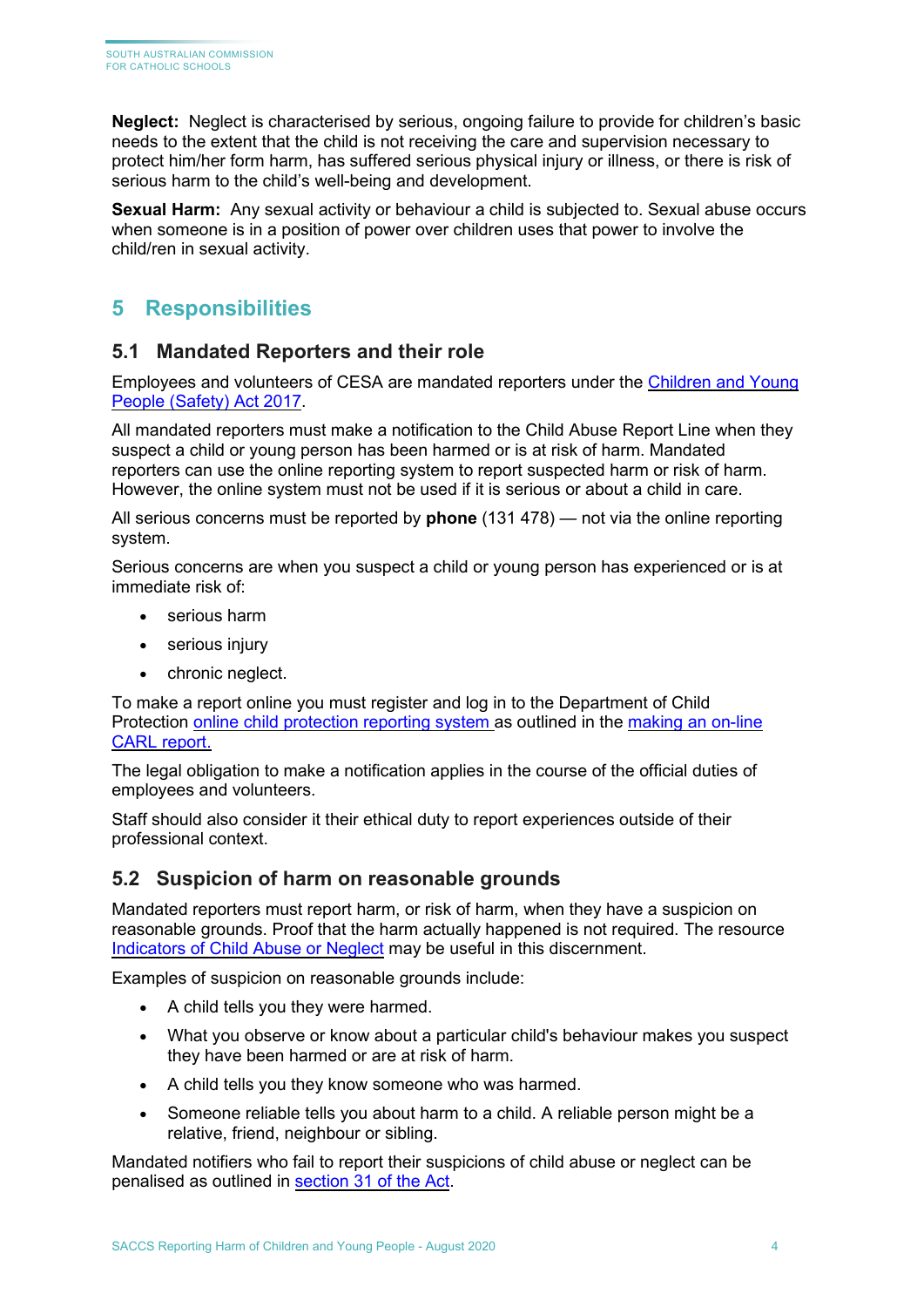**Neglect:** Neglect is characterised by serious, ongoing failure to provide for children's basic needs to the extent that the child is not receiving the care and supervision necessary to protect him/her form harm, has suffered serious physical injury or illness, or there is risk of serious harm to the child's well-being and development.

**Sexual Harm:** Any sexual activity or behaviour a child is subjected to. Sexual abuse occurs when someone is in a position of power over children uses that power to involve the child/ren in sexual activity.

## <span id="page-3-0"></span>**5 Responsibilities**

#### <span id="page-3-1"></span>**5.1 Mandated Reporters and their role**

Employees and volunteers of CESA are mandated reporters under the [Children and Young](https://www.legislation.sa.gov.au/LZ/C/A/Children%20and%20Young%20People%20(Safety)%20Act%202017.aspx)  [People \(Safety\) Act 2017.](https://www.legislation.sa.gov.au/LZ/C/A/Children%20and%20Young%20People%20(Safety)%20Act%202017.aspx)

All mandated reporters must make a notification to the Child Abuse Report Line when they suspect a child or young person has been harmed or is at risk of harm. [Mandated](https://edi.sa.edu.au/supporting-children/child-protection/reporting-abuse-or-neglect/mandated-reporters)  [reporters](https://edi.sa.edu.au/supporting-children/child-protection/reporting-abuse-or-neglect/mandated-reporters) can use the online reporting system to report suspected harm or risk of harm. However, the online system must not be used if it is serious or about a child in care.

All serious concerns must be reported by **phone** (131 478) — not via the online reporting system.

Serious concerns are when you suspect a child or young person has experienced or is at immediate risk of:

- serious harm
- serious injury
- chronic neglect.

To make a report online you must register and log in to the Department of Child Protection [online child protection reporting system](https://auth.families.sa.gov.au/nidp/idff/sso?id=FamCit&sid=0&option=credential&sid=0) as outlined in the [making an on-line](https://www.childprotection.sa.gov.au/__data/assets/pdf_file/0004/107419/online-child-abuse-reporting-system-instructions.pdf)  [CARL report.](https://www.childprotection.sa.gov.au/__data/assets/pdf_file/0004/107419/online-child-abuse-reporting-system-instructions.pdf)

The legal obligation to make a notification applies in the course of the official duties of employees and volunteers.

Staff should also consider it their ethical duty to report experiences outside of their professional context.

#### <span id="page-3-2"></span>**5.2 Suspicion of harm on reasonable grounds**

Mandated reporters must report harm, or risk of harm, when they have a suspicion on reasonable grounds. Proof that the harm actually happened is not required. The resource [Indicators of Child Abuse](https://www.childprotection.sa.gov.au/reporting-child-abuse/indicators-abuse-or-neglect) or Neglect may be useful in this discernment.

Examples of suspicion on reasonable grounds include:

- A child tells you they were harmed.
- What you observe or know about a particular child's behaviour makes you suspect they have been harmed or are at risk of harm.
- A child tells you they know someone who was harmed.
- Someone reliable tells you about harm to a child. A reliable person might be a relative, friend, neighbour or sibling.

Mandated notifiers who fail to report their suspicions of child abuse or neglect can be penalised as outlined in [section 31 of the Act.](https://www.legislation.sa.gov.au/LZ/C/A/CHILDREN%20AND%20YOUNG%20PEOPLE%20(SAFETY)%20ACT%202017/CURRENT/2017.25.AUTH.PDF#page=26)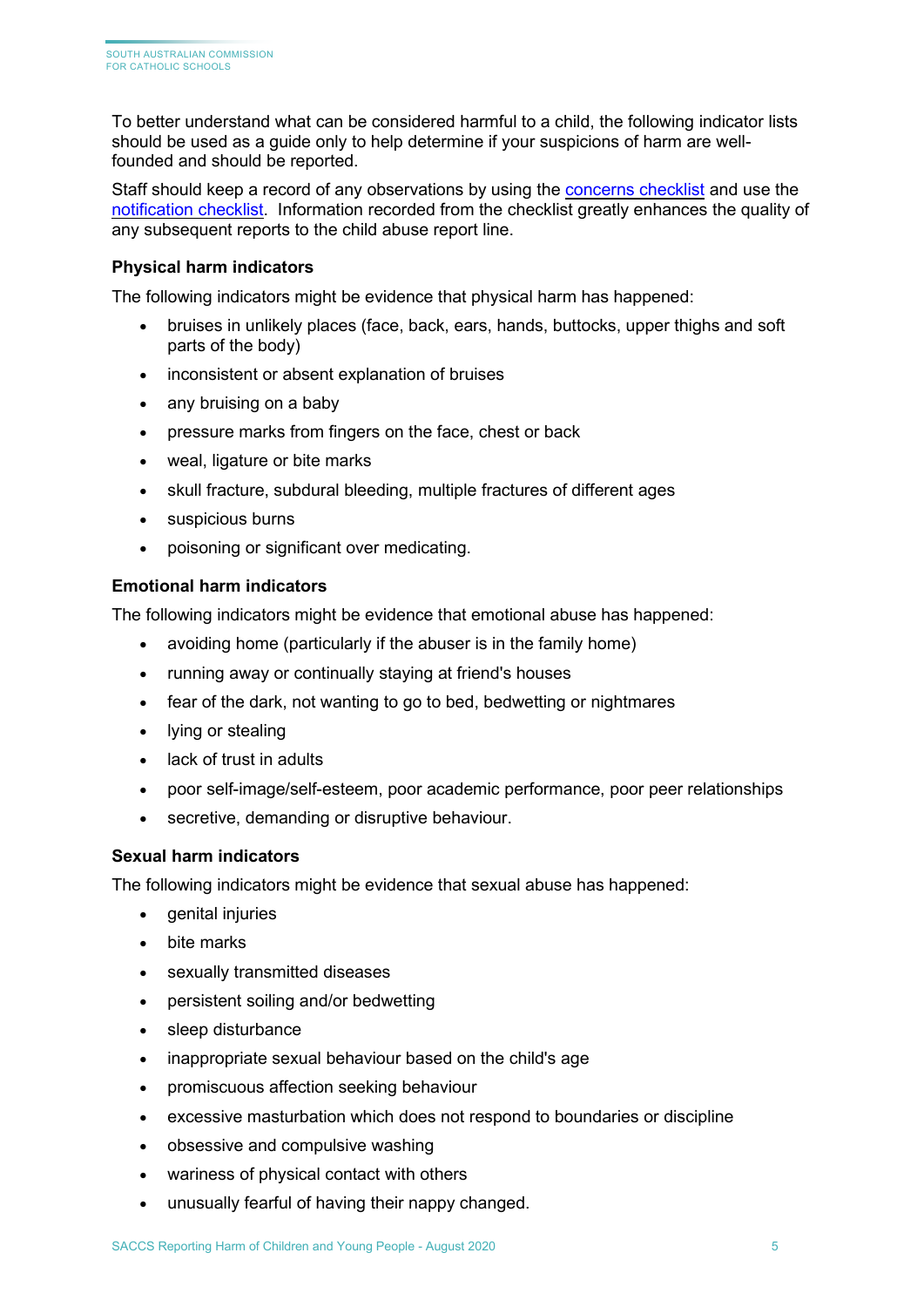To better understand what can be considered harmful to a child, the following indicator lists should be used as a guide only to help determine if your suspicions of harm are wellfounded and should be reported.

Staff should keep a record of any observations by using the [concerns checklist](https://www.education.sa.gov.au/sites/default/files/concerns-checklist-ran-ec.pdf?acsf_files_redirect) and use the [notification checklist.](https://www.childprotection.sa.gov.au/__data/assets/pdf_file/0013/107032/notification-checklist.pdf) Information recorded from the checklist greatly enhances the quality of any subsequent reports to the child abuse report line.

#### **Physical harm indicators**

The following indicators might be evidence that physical harm has happened:

- bruises in unlikely places (face, back, ears, hands, buttocks, upper thighs and soft parts of the body)
- inconsistent or absent explanation of bruises
- any bruising on a baby
- pressure marks from fingers on the face, chest or back
- weal, ligature or bite marks
- skull fracture, subdural bleeding, multiple fractures of different ages
- suspicious burns
- poisoning or significant over medicating.

#### **Emotional harm indicators**

The following indicators might be evidence that emotional abuse has happened:

- avoiding home (particularly if the abuser is in the family home)
- running away or continually staying at friend's houses
- fear of the dark, not wanting to go to bed, bedwetting or nightmares
- lying or stealing
- lack of trust in adults
- poor self-image/self-esteem, poor academic performance, poor peer relationships
- secretive, demanding or disruptive behaviour.

#### **Sexual harm indicators**

The following indicators might be evidence that sexual abuse has happened:

- genital injuries
- bite marks
- sexually transmitted diseases
- persistent soiling and/or bedwetting
- sleep disturbance
- inappropriate sexual behaviour based on the child's age
- promiscuous affection seeking behaviour
- excessive masturbation which does not respond to boundaries or discipline
- obsessive and compulsive washing
- wariness of physical contact with others
- unusually fearful of having their nappy changed.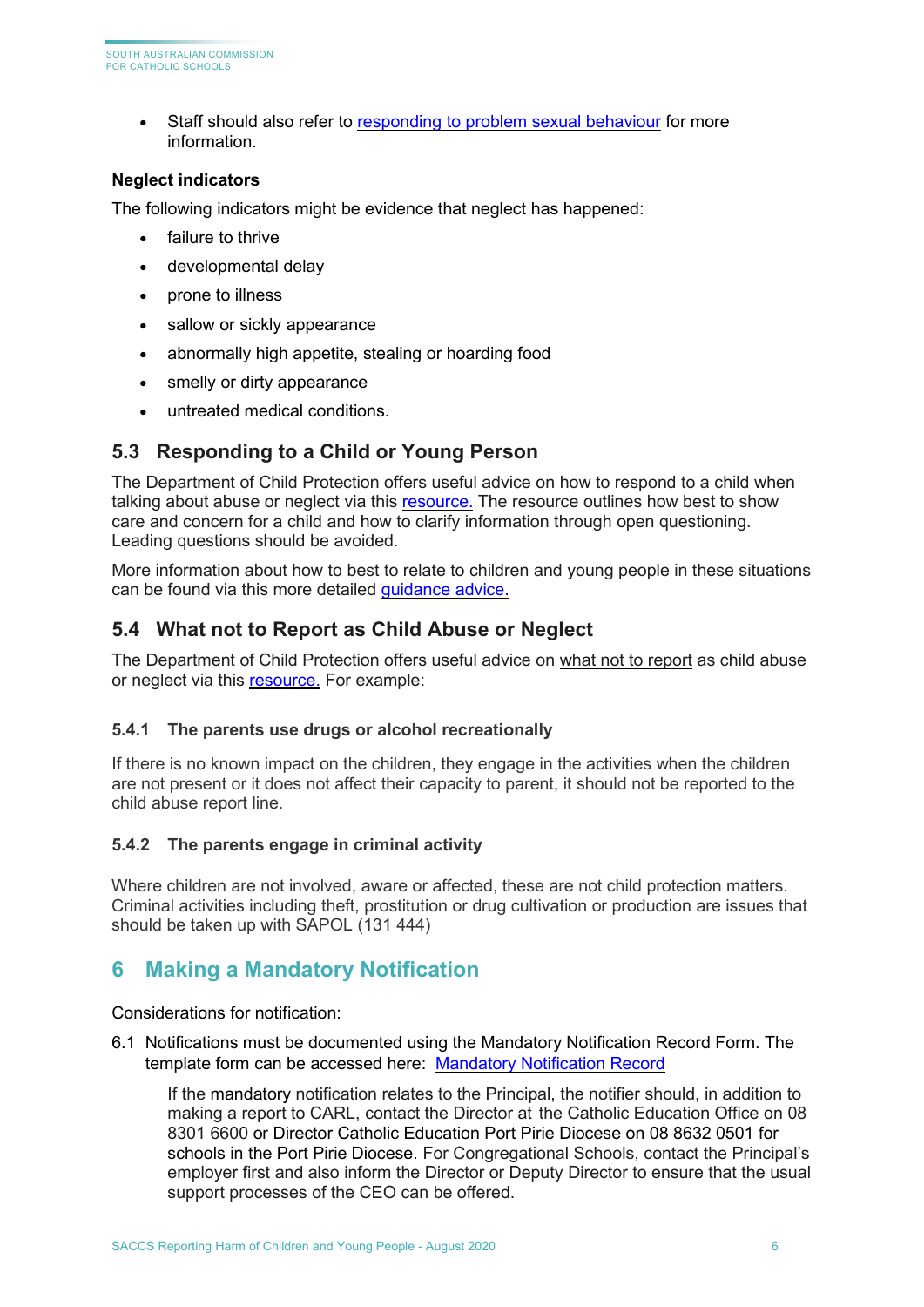• Staff should also refer to [responding to problem sexual behaviour](https://online.cesa.catholic.edu.au/docushare/dsweb/Get/Document-14368/2019%2BResponding%2Bto%2BProblem%2BSexual%2BBehaviour%2Bguideline_minor%2Bedit%2BFINAL%2Bhigh%2Bresolution.pdf) for more information.

#### **Neglect indicators**

The following indicators might be evidence that neglect has happened:

- failure to thrive
- developmental delay
- prone to illness
- sallow or sickly appearance
- abnormally high appetite, stealing or hoarding food
- smelly or dirty appearance
- untreated medical conditions.

#### <span id="page-5-0"></span>**5.3 Responding to a Child or Young Person**

The Department of Child Protection offers useful advice on how to respond to a child when talking about abuse or neglect via this [resource.](https://www.childprotection.sa.gov.au/reporting-child-abuse/responding-child-about-abuse-or-neglect) The resource outlines how best to show care and concern for a child and how to clarify information through open questioning. Leading questions should be avoided.

More information about how to best to relate to children and young people in these situations can be found via this more detailed [guidance advice.](https://www.childprotection.sa.gov.au/reporting-child-abuse/responding-child-about-abuse-or-neglect)

#### <span id="page-5-1"></span>**5.4 What not to Report as Child Abuse or Neglect**

The Department of Child Protection offers useful advice on what not to report as child abuse or neglect via this [resource.](https://www.childprotection.sa.gov.au/reporting-child-abuse/what-not-report-child-abuse-or-neglect) For example:

#### <span id="page-5-2"></span>**5.4.1 The parents use drugs or alcohol recreationally**

If there is no known impact on the children, they engage in the activities when the children are not present or it does not affect their capacity to parent, it should not be reported to the child abuse report line.

#### <span id="page-5-3"></span>**5.4.2 The parents engage in criminal activity**

Where children are not involved, aware or affected, these are not child protection matters. Criminal activities including theft, prostitution or drug cultivation or production are issues that should be taken up with SAPOL (131 444)

### <span id="page-5-4"></span>**6 Making a Mandatory Notification**

Considerations for notification:

6.1 Notifications must be documented using the Mandatory Notification Record Form. The template form can be accessed here: [Mandatory Notification Record](https://online.cesa.catholic.edu.au/docushare/dsweb/View/Collection-7201)

If the mandatory notification relates to the Principal, the notifier should, in addition to making a report to CARL, contact the Director at the Catholic Education Office on 08 8301 6600 or Director Catholic Education Port Pirie Diocese on 08 8632 0501 for schools in the Port Pirie Diocese. For Congregational Schools, contact the Principal's employer first and also inform the Director or Deputy Director to ensure that the usual support processes of the CEO can be offered.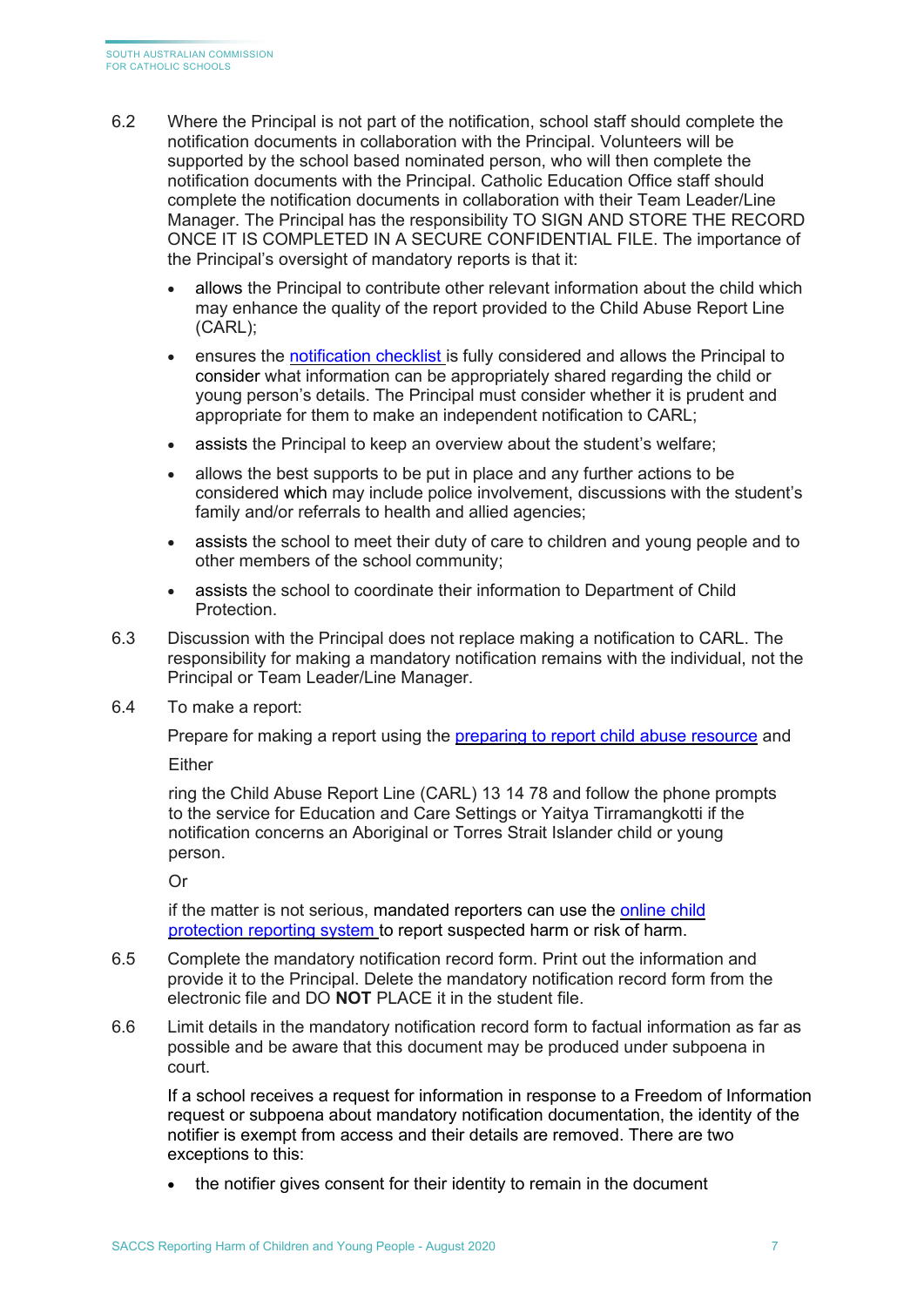- 6.2 Where the Principal is not part of the notification, school staff should complete the notification documents in collaboration with the Principal. Volunteers will be supported by the school based nominated person, who will then complete the notification documents with the Principal. Catholic Education Office staff should complete the notification documents in collaboration with their Team Leader/Line Manager. The Principal has the responsibility TO SIGN AND STORE THE RECORD ONCE IT IS COMPLETED IN A SECURE CONFIDENTIAL FILE. The importance of the Principal's oversight of mandatory reports is that it:
	- allows the Principal to contribute other relevant information about the child which may enhance the quality of the report provided to the Child Abuse Report Line (CARL);
	- ensures the [notification checklist](https://www.childprotection.sa.gov.au/__data/assets/pdf_file/0013/107032/notification-checklist.pdf) is fully considered and allows the Principal to consider what information can be appropriately shared regarding the child or young person's details. The Principal must consider whether it is prudent and appropriate for them to make an independent notification to CARL;
	- assists the Principal to keep an overview about the student's welfare;
	- allows the best supports to be put in place and any further actions to be considered which may include police involvement, discussions with the student's family and/or referrals to health and allied agencies;
	- assists the school to meet their duty of care to children and young people and to other members of the school community;
	- assists the school to coordinate their information to Department of Child Protection.
- 6.3 Discussion with the Principal does not replace making a notification to CARL. The responsibility for making a mandatory notification remains with the individual, not the Principal or Team Leader/Line Manager.
- 6.4 To make a report:

Prepare for making a report using the [preparing to report child abuse resource](https://www.childprotection.sa.gov.au/reporting-child-abuse/preparing-report-child-abuse) and

Either

ring the Child Abuse Report Line (CARL) 13 14 78 and follow the phone prompts to the service for Education and Care Settings or Yaitya Tirramangkotti if the notification concerns an Aboriginal or Torres Strait Islander child or young person.

Or

if the matter is not serious, [mandated reporters](https://edi.sa.edu.au/supporting-children/child-protection/reporting-abuse-or-neglect/mandated-reporters) can use the [online child](https://www.childprotection.sa.gov.au/__data/assets/pdf_file/0004/107419/online-child-abuse-reporting-system-instructions.pdf)  [protection reporting system](https://www.childprotection.sa.gov.au/__data/assets/pdf_file/0004/107419/online-child-abuse-reporting-system-instructions.pdf) to report suspected harm or risk of harm.

- 6.5 Complete the mandatory notification record form. Print out the information and provide it to the Principal. Delete the mandatory notification record form from the electronic file and DO **NOT** PLACE it in the student file.
- 6.6 Limit details in the mandatory notification record form to factual information as far as possible and be aware that this document may be produced under subpoena in court.

If a school receives a request for information in response to a Freedom of Information request or subpoena about mandatory notification documentation, the identity of the notifier is exempt from access and their details are removed. There are two exceptions to this:

the notifier gives consent for their identity to remain in the document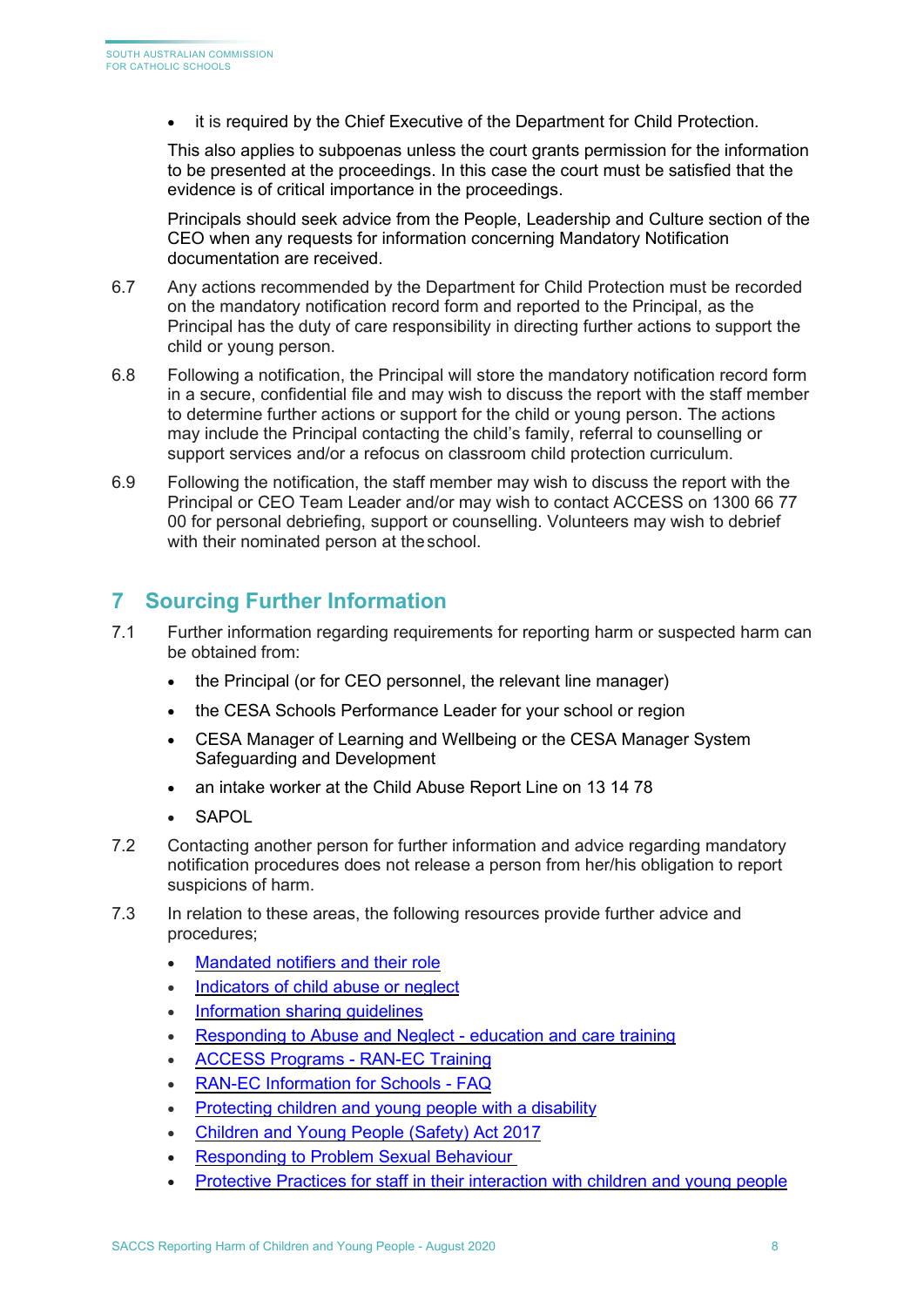• it is required by the Chief Executive of the Department for Child Protection.

This also applies to subpoenas unless the court grants permission for the information to be presented at the proceedings. In this case the court must be satisfied that the evidence is of critical importance in the proceedings.

Principals should seek advice from the People, Leadership and Culture section of the CEO when any requests for information concerning Mandatory Notification documentation are received.

- 6.7 Any actions recommended by the Department for Child Protection must be recorded on the mandatory notification record form and reported to the Principal, as the Principal has the duty of care responsibility in directing further actions to support the child or young person.
- 6.8 Following a notification, the Principal will store the mandatory notification record form in a secure, confidential file and may wish to discuss the report with the staff member to determine further actions or support for the child or young person. The actions may include the Principal contacting the child's family, referral to counselling or support services and/or a refocus on classroom child protection curriculum.
- 6.9 Following the notification, the staff member may wish to discuss the report with the Principal or CEO Team Leader and/or may wish to contact ACCESS on 1300 66 77 00 for personal debriefing, support or counselling. Volunteers may wish to debrief with their nominated person at the school.

## <span id="page-7-0"></span>**7 Sourcing Further Information**

- 7.1 Further information regarding requirements for reporting harm or suspected harm can be obtained from:
	- the Principal (or for CEO personnel, the relevant line manager)
	- the CESA Schools Performance Leader for your school or region
	- CESA Manager of Learning and Wellbeing or the CESA Manager System Safeguarding and Development
	- an intake worker at the Child Abuse Report Line on 13 14 78
	- **SAPOL**
- 7.2 Contacting another person for further information and advice regarding mandatory notification procedures does not release a person from her/his obligation to report suspicions of harm.
- 7.3 In relation to these areas, the following resources provide further advice and procedures;
	- [Mandated notifiers and their role](https://www.childprotection.sa.gov.au/reporting-child-abuse/mandated-notifiers-and-their-role)
	- [Indicators of child abuse or neglect](https://www.childprotection.sa.gov.au/reporting-child-abuse/indicators-abuse-or-neglect)
	- Information sharing quidelines
	- [Responding to Abuse and Neglect -](https://www.education.sa.gov.au/working-us/ran-ec-training) education and care training
	- [ACCESS Programs -](http://accesssa.com.au/training/course-description/responding-to-abuse-and-neglect/) RAN-EC Training
	- [RAN-EC Information for Schools -](https://online.cesa.catholic.edu.au/docushare/dsweb/Get/Circular-9234/20181012_RAN-EC%2BGeneral%2BFAQs%2B2018_TA.pdf) FAQ
	- [Protecting children and young people with a disability](https://www.education.sa.gov.au/parenting-and-child-care/parenting/protecting-children-and-young-people-disability)
	- [Children and Young People \(Safety\) Act 2017](https://www.legislation.sa.gov.au/LZ/C/A/Children%20and%20Young%20People%20(Safety)%20Act%202017.aspx)
	- [Responding to Problem Sexual Behaviour](https://online.cesa.catholic.edu.au/docushare/dsweb/Get/Document-14368/2019%2BResponding%2Bto%2BProblem%2BSexual%2BBehaviour%2Bguideline_minor%2Bedit%2BFINAL%2Bhigh%2Bresolution.pdf)
	- [Protective Practices for staff in their interaction with children and young people](https://online.cesa.catholic.edu.au/docushare/dsweb/Get/Document-33040/protective_practices_for_staff_in_their_interactions_with_children_and_young_people.pdf)